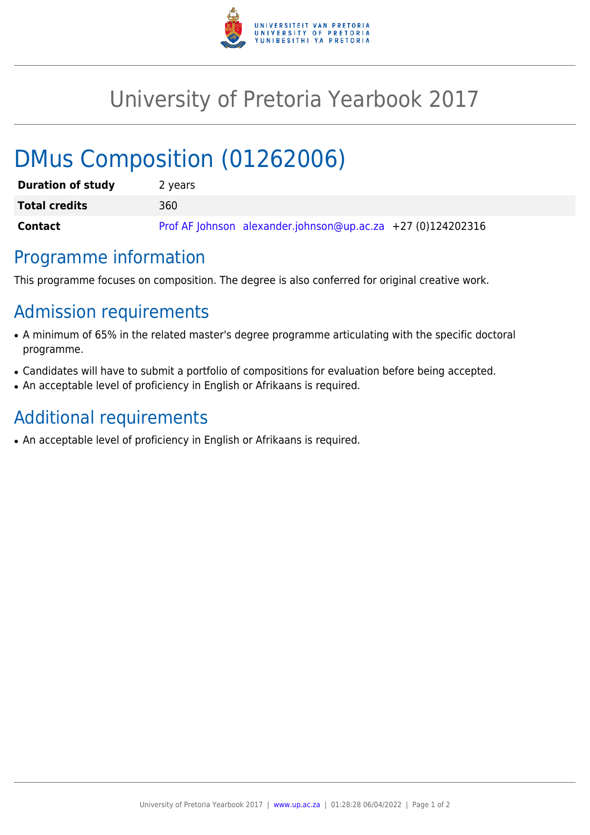

## University of Pretoria Yearbook 2017

# DMus Composition (01262006)

| <b>Duration of study</b> | 2 years                                                       |
|--------------------------|---------------------------------------------------------------|
| <b>Total credits</b>     | 360                                                           |
| Contact                  | Prof AF Johnson alexander.johnson@up.ac.za $+27$ (0)124202316 |

#### Programme information

This programme focuses on composition. The degree is also conferred for original creative work.

### Admission requirements

- A minimum of 65% in the related master's degree programme articulating with the specific doctoral programme.
- Candidates will have to submit a portfolio of compositions for evaluation before being accepted.
- An acceptable level of proficiency in English or Afrikaans is required.

## Additional requirements

• An acceptable level of proficiency in English or Afrikaans is required.